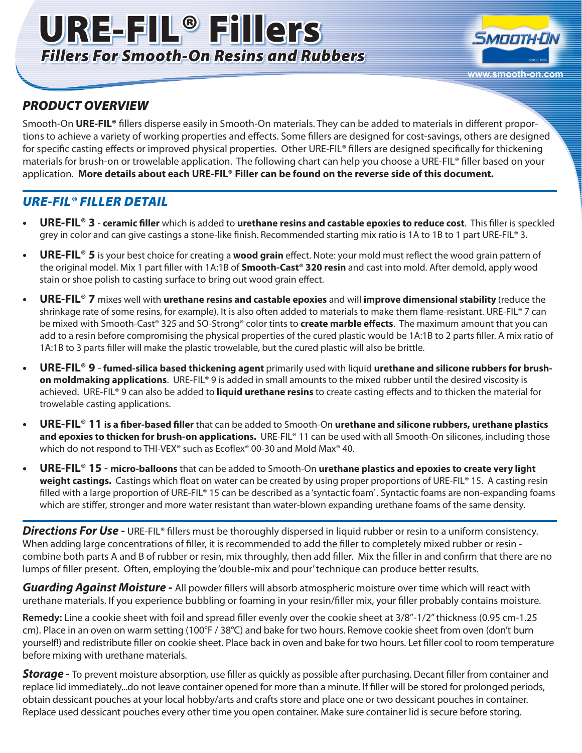# URE-FIL® Fillers *Fillers For Smooth-On Resins and Rubbers*



### *PRODUCT OVERVIEW*

Smooth-On **URE-FIL®** fillers disperse easily in Smooth-On materials. They can be added to materials in different proportions to achieve a variety of working properties and effects. Some fillers are designed for cost-savings, others are designed for specific casting effects or improved physical properties. Other URE-FIL® fillers are designed specifically for thickening materials for brush-on or trowelable application. The following chart can help you choose a URE-FIL® filler based on your application. **More details about each URE-FIL® Filler can be found on the reverse side of this document.**

### *URE-FIL® FILLER DETAIL*

- **URE-FIL<sup>®</sup> 3 ceramic filler** which is added to **urethane resins and castable epoxies to reduce cost**. This filler is speckled grey in color and can give castings a stone-like finish. Recommended starting mix ratio is 1A to 1B to 1 part URE-FIL® 3.
- **URE-FIL<sup>®</sup> 5** is your best choice for creating a **wood grain** effect. Note: your mold must reflect the wood grain pattern of the original model. Mix 1 part filler with 1A:1B of **Smooth-Cast® 320 resin** and cast into mold. After demold, apply wood stain or shoe polish to casting surface to bring out wood grain effect.
- **• URE-FIL® 7** mixes well with **urethane resins and castable epoxies** and will **improve dimensional stability** (reduce the shrinkage rate of some resins, for example). It is also often added to materials to make them flame-resistant. URE-FIL® 7 can be mixed with Smooth-Cast® 325 and SO-Strong® color tints to **create marble effects**. The maximum amount that you can add to a resin before compromising the physical properties of the cured plastic would be 1A:1B to 2 parts filler. A mix ratio of 1A:1B to 3 parts filler will make the plastic trowelable, but the cured plastic will also be brittle.
- **URE-FIL<sup>®</sup> 9 fumed-silica based thickening agent** primarily used with liquid **urethane and silicone rubbers for brushon moldmaking applications**. URE-FIL® 9 is added in small amounts to the mixed rubber until the desired viscosity is achieved. URE-FIL® 9 can also be added to **liquid urethane resins** to create casting effects and to thicken the material for trowelable casting applications.
- **URE-FIL<sup>®</sup> 11 is a fiber-based filler** that can be added to Smooth-On **urethane and silicone rubbers, urethane plastics and epoxies to thicken for brush-on applications.** URE-FIL<sup>®</sup> 11 can be used with all Smooth-On silicones, including those which do not respond to THI-VEX<sup>®</sup> such as Ecoflex<sup>®</sup> 00-30 and Mold Max<sup>®</sup> 40.
- **URE-FIL<sup>®</sup> 15 micro-balloons** that can be added to Smooth-On **urethane plastics and epoxies to create very light weight castings.** Castings which float on water can be created by using proper proportions of URE-FIL® 15. A casting resin filled with a large proportion of URE-FIL® 15 can be described as a 'syntactic foam'. Syntactic foams are non-expanding foams which are stiffer, stronger and more water resistant than water-blown expanding urethane foams of the same density.

**Directions For Use -** URE-FIL® fillers must be thoroughly dispersed in liquid rubber or resin to a uniform consistency. When adding large concentrations of filler, it is recommended to add the filler to completely mixed rubber or resin combine both parts A and B of rubber or resin, mix throughly, then add filler. Mix the filler in and confirm that there are no lumps of filler present. Often, employing the 'double-mix and pour' technique can produce better results.

*Guarding Against Moisture -* All powder fillers will absorb atmospheric moisture over time which will react with urethane materials. If you experience bubbling or foaming in your resin/filler mix, your filler probably contains moisture.

**Remedy:** Line a cookie sheet with foil and spread filler evenly over the cookie sheet at 3/8"-1/2" thickness (0.95 cm-1.25 cm). Place in an oven on warm setting (100°F / 38°C) and bake for two hours. Remove cookie sheet from oven (don't burn yourself!) and redistribute filler on cookie sheet. Place back in oven and bake for two hours. Let filler cool to room temperature before mixing with urethane materials.

**Storage** - To prevent moisture absorption, use filler as quickly as possible after purchasing. Decant filler from container and replace lid immediately...do not leave container opened for more than a minute. If filler will be stored for prolonged periods, obtain dessicant pouches at your local hobby/arts and crafts store and place one or two dessicant pouches in container. Replace used dessicant pouches every other time you open container. Make sure container lid is secure before storing.